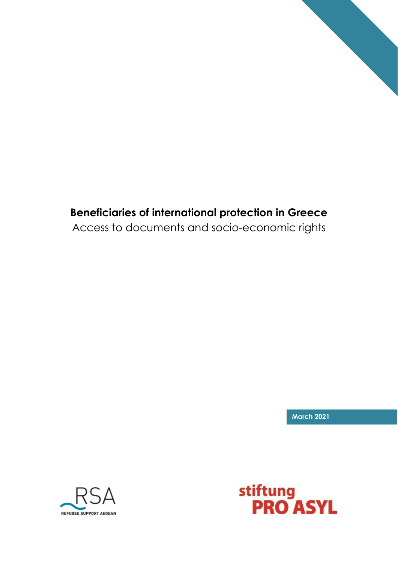

# **Beneficiaries of international protection in Greece**

Access to documents and socio-economic rights

**March 2021**



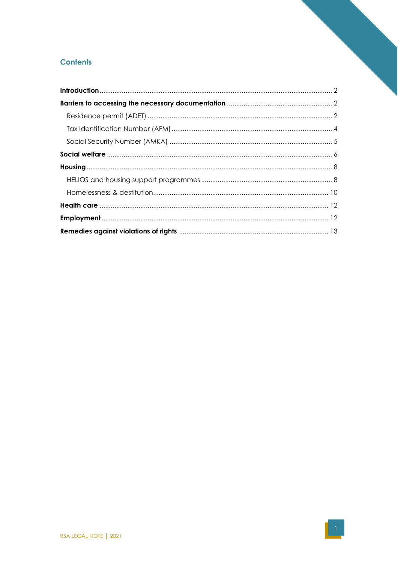## **Contents**

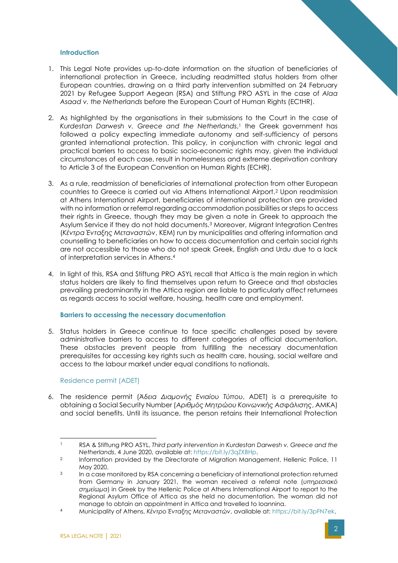### <span id="page-2-0"></span>**Introduction**

- 1. This Legal Note provides up-to-date information on the situation of beneficiaries of international protection in Greece, including readmitted status holders from other European countries, drawing on a third party intervention submitted on 24 February 2021 by Refugee Support Aegean (RSA) and Stiftung PRO ASYL in the case of *Alaa Asaad v. the Netherlands* before the European Court of Human Rights (ECtHR).
- 2. As highlighted by the organisations in their submissions to the Court in the case of *Kurdestan Darwesh v. Greece and the Netherlands*, <sup>1</sup> the Greek government has followed a policy expecting immediate autonomy and self-sufficiency of persons granted international protection. This policy, in conjunction with chronic legal and practical barriers to access to basic socio-economic rights may, given the individual circumstances of each case, result in homelessness and extreme deprivation contrary to Article 3 of the European Convention on Human Rights (ECHR).
- 3. As a rule, readmission of beneficiaries of international protection from other European countries to Greece is carried out via Athens International Airport.<sup>2</sup> Upon readmission at Athens International Airport, beneficiaries of international protection are provided with no information or referral regarding accommodation possibilities or steps to access their rights in Greece, though they may be given a note in Greek to approach the Asylum Service if they do not hold documents.<sup>3</sup> Moreover, Migrant Integration Centres (*Κέντρα Ένταξης Μεταναστών*, KEM) run by municipalities and offering information and counselling to beneficiaries on how to access documentation and certain social rights are not accessible to those who do not speak Greek, English and Urdu due to a lack of interpretation services in Athens. 4
- 4. In light of this, RSA and Stiftung PRO ASYL recall that Attica is the main region in which status holders are likely to find themselves upon return to Greece and that obstacles prevailing predominantly in the Attica region are liable to particularly affect returnees as regards access to social welfare, housing, health care and employment.

### <span id="page-2-1"></span>**Barriers to accessing the necessary documentation**

5. Status holders in Greece continue to face specific challenges posed by severe administrative barriers to access to different categories of official documentation. These obstacles prevent people from fulfilling the necessary documentation prerequisites for accessing key rights such as health care, housing, social welfare and access to the labour market under equal conditions to nationals.

### <span id="page-2-2"></span>Residence permit (ADET)

6. The residence permit (*Άδεια Διαμονής Ενιαίου Τύπου*, ADET) is a prerequisite to obtaining a Social Security Number (*Αριθμός Μητρώου Κοινωνικής Ασφάλισης*, AMKA) and social benefits. Until its issuance, the person retains their International Protection

<sup>1</sup> RSA & Stiftung PRO ASYL, *Third party intervention in Kurdestan Darwesh v. Greece and the Netherlands*, 4 June 2020, available at[: https://bit.ly/3qZXBHp.](https://bit.ly/3qZXBHp)

 $\mathfrak{D}$ Information provided by the Directorate of Migration Management, Hellenic Police, 11 May 2020.

<sup>3</sup> In a case monitored by RSA concerning a beneficiary of international protection returned from Germany in January 2021, the woman received a referral note (*υπηρεσιακό σημείωμα*) in Greek by the Hellenic Police at Athens International Airport to report to the Regional Asylum Office of Attica as she held no documentation. The woman did not manage to obtain an appointment in Attica and travelled to Ioannina.

<sup>4</sup> Municipality of Athens, *Κέντρο Ένταξης Μεταναστών*, available at: [https://bit.ly/3pFN7ek.](https://bit.ly/3pFN7ek)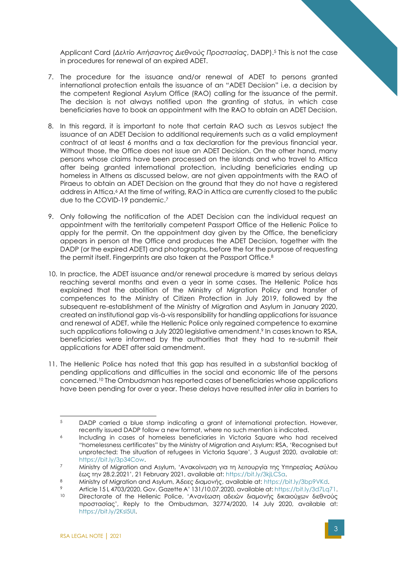Applicant Card (*Δελτίο Αιτήσαντος Διεθνούς Προστασίας*, DADP).<sup>5</sup> This is not the case in procedures for renewal of an expired ADET.

- 7. The procedure for the issuance and/or renewal of ADET to persons granted international protection entails the issuance of an "ADET Decision" i.e. a decision by the competent Regional Asylum Office (RAO) calling for the issuance of the permit. The decision is not always notified upon the granting of status, in which case beneficiaries have to book an appointment with the RAO to obtain an ADET Decision.
- 8. In this regard, it is important to note that certain RAO such as Lesvos subject the issuance of an ADET Decision to additional requirements such as a valid employment contract of at least 6 months and a tax declaration for the previous financial year. Without those, the Office does not issue an ADET Decision. On the other hand, many persons whose claims have been processed on the islands and who travel to Attica after being granted international protection, including beneficiaries ending up homeless in Athens as discussed below, are not given appointments with the RAO of Piraeus to obtain an ADET Decision on the ground that they do not have a registered address in Attica.<sup>6</sup> At the time of writing, RAO in Attica are currently closed to the public due to the COVID-19 pandemic.<sup>7</sup>
- 9. Only following the notification of the ADET Decision can the individual request an appointment with the territorially competent Passport Office of the Hellenic Police to apply for the permit. On the appointment day given by the Office, the beneficiary appears in person at the Office and produces the ADET Decision, together with the DADP (or the expired ADET) and photographs, before the for the purpose of requesting the permit itself. Fingerprints are also taken at the Passport Office.<sup>8</sup>
- 10. In practice, the ADET issuance and/or renewal procedure is marred by serious delays reaching several months and even a year in some cases. The Hellenic Police has explained that the abolition of the Ministry of Migration Policy and transfer of competences to the Ministry of Citizen Protection in July 2019, followed by the subsequent re-establishment of the Ministry of Migration and Asylum in January 2020, created an institutional gap vis-à-vis responsibility for handling applications for issuance and renewal of ADET, while the Hellenic Police only regained competence to examine such applications following a July 2020 legislative amendment.<sup>9</sup> In cases known to RSA, beneficiaries were informed by the authorities that they had to re-submit their applications for ADET after said amendment.
- 11. The Hellenic Police has noted that this gap has resulted in a substantial backlog of pending applications and difficulties in the social and economic life of the persons concerned.<sup>10</sup> The Ombudsman has reported cases of beneficiaries whose applications have been pending for over a year. These delays have resulted *inter alia* in barriers to

<sup>5</sup> DADP carried a blue stamp indicating a grant of international protection. However, recently issued DADP follow a new format, where no such mention is indicated.

<sup>6</sup> Including in cases of homeless beneficiaries in Victoria Square who had received "homelessness certificates" by the Ministry of Migration and Asylum: RSA, 'Recognised but unprotected: The situation of refugees in Victoria Square', 3 August 2020, available at: [https://bit.ly/3p34Cow.](https://bit.ly/3p34Cow)

<sup>7</sup> Ministry of Migration and Asylum, 'Ανακοίνωση για τη λειτουργία της Υπηρεσίας Ασύλου έως την 28.2.2021', 21 February 2021, available at: [https://bit.ly/3kjLCSa.](https://bit.ly/3kjLCSa)

<sup>8</sup> Ministry of Migration and Asylum, *Άδειες διαμονής*, available at: [https://bit.ly/3bp9VKd.](https://bit.ly/3bp9VKd)

<sup>9</sup> Article 15 L 4703/2020, Gov. Gazette A' 131/10.07.2020, available at: [https://bit.ly/3d7Lq71.](https://bit.ly/3d7Lq71)<br>10 Directerate of the Hollonic Bolice, 'Avaytorn afsroy figuewhe Suguewys Schweig.

<sup>10</sup> Directorate of the Hellenic Police, 'Ανανέωση αδειών διαμονής δικαιούχων διεθνούς προστασίας', Reply to the Ombudsman, 32774/2020, 14 July 2020, available at: [https://bit.ly/2Ksl5UI.](https://bit.ly/2Ksl5UI)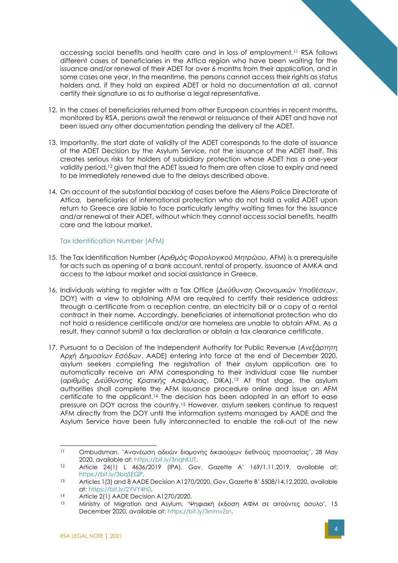accessing social benefits and health care and in loss of employment.<sup>11</sup> RSA follows different cases of beneficiaries in the Attica region who have been waiting for the issuance and/or renewal of their ADET for over 6 months from their application, and in some cases one year. In the meantime, the persons cannot access their rights as status holders and, if they hold an expired ADET or hold no documentation at all, cannot certify their signature so as to authorise a legal representative.

- 12. In the cases of beneficiaries returned from other European countries in recent months, monitored by RSA, persons await the renewal or reissuance of their ADET and have not been issued any other documentation pending the delivery of the ADET.
- 13. Importantly, the start date of validity of the ADET corresponds to the date of issuance of the ADET Decision by the Asylum Service, not the issuance of the ADET itself. This creates serious risks for holders of subsidiary protection whose ADET has a one-year validity period,<sup>12</sup> given that the ADET issued to them are often close to expiry and need to be immediately renewed due to the delays described above.
- 14. On account of the substantial backlog of cases before the Aliens Police Directorate of Attica, beneficiaries of international protection who do not hold a valid ADET upon return to Greece are liable to face particularly lengthy waiting times for the issuance and/or renewal of their ADET, without which they cannot access social benefits, health care and the labour market.

<span id="page-4-0"></span>Tax Identification Number (AFM)

- 15. The Tax Identification Number (*Αριθμός Φορολογικού Μητρώου*, AFM) is a prerequisite for acts such as opening of a bank account, rental of property, issuance of AMKA and access to the labour market and social assistance in Greece.
- 16. Individuals wishing to register with a Tax Office (*Διεύθυνση Οικονομικών Υποθέσεων*, DOY) with a view to obtaining AFM are required to certify their residence address through a certificate from a reception centre, an electricity bill or a copy of a rental contract in their name. Accordingly, beneficiaries of international protection who do not hold a residence certificate and/or are homeless are unable to obtain AFM. As a result, they cannot submit a tax declaration or obtain a tax clearance certificate.
- 17. Pursuant to a Decision of the Independent Authority for Public Revenue (*Ανεξάρτητη Αρχή Δημοσίων Εσόδων*, AADE) entering into force at the end of December 2020, asylum seekers completing the registration of their asylum application are to automatically receive an AFM corresponding to their individual case file number (*αριθμός Διεύθυνσης Κρατικής Ασφάλειας*, DIKA).<sup>13</sup> At that stage, the asylum authorities shall complete the AFM issuance procedure online and issue an AFM certificate to the applicant.<sup>14</sup> The decision has been adopted in an effort to ease pressure on DOY across the country.<sup>15</sup> However, asylum seekers continue to request AFM directly from the DOY until the information systems managed by AADE and the Asylum Service have been fully interconnected to enable the roll-out of the new

<sup>11</sup> Ombudsman, 'Ανανέωση αδειών διαμονής δικαιούχων διεθνούς προστασίας', 28 May 2020, available at: [https://bit.ly/3nqhKUT.](https://bit.ly/3nqhKUT)

<sup>12</sup> Article 24(1) L 4636/2019 (IPA), Gov. Gazette A' 169/1.11.2019, available at: [https://bit.ly/3bqSEQP.](https://bit.ly/3bqSEQP)

<sup>13</sup> Articles 1(3) and 8 AADE Decision A1270/2020, Gov. Gazette B' 5508/14.12.2020, available at[: https://bit.ly/2YVY4h0.](https://bit.ly/2YVY4h0)

<sup>14</sup> Article 2(1) AADE Decision A1270/2020.

<sup>15</sup> Ministry of Migration and Asylum, 'Ψηφιακή έκδοση ΑΦΜ σε αιτούντες άσυλο', 15 December 2020, available at: [https://bit.ly/3mmvZsn.](https://bit.ly/3mmvZsn)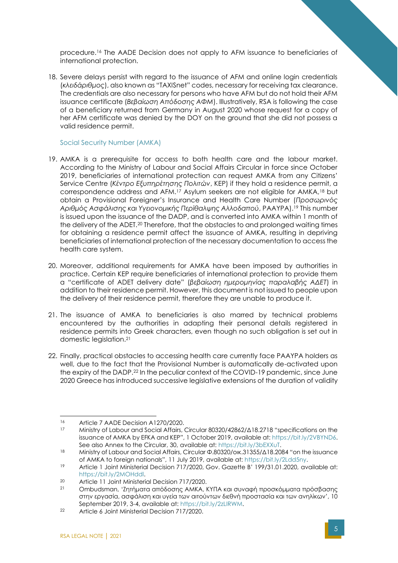procedure.<sup>16</sup> The AADE Decision does not apply to AFM issuance to beneficiaries of international protection.

18. Severe delays persist with regard to the issuance of AFM and online login credentials (*κλειδάριθμος*), also known as "TAXISnet" codes, necessary for receiving tax clearance. The credentials are also necessary for persons who have AFM but do not hold their AFM issuance certificate (*Βεβαίωση Απόδοσης ΑΦΜ*). Illustratively, RSA is following the case of a beneficiary returned from Germany in August 2020 whose request for a copy of her AFM certificate was denied by the DOY on the ground that she did not possess a valid residence permit.

### <span id="page-5-0"></span>Social Security Number (AMKA)

- 19. AMKA is a prerequisite for access to both health care and the labour market. According to the Ministry of Labour and Social Affairs Circular in force since October 2019, beneficiaries of international protection can request AMKA from any Citizens' Service Centre (*Κέντρο Εξυπηρέτησης Πολιτών*, KEP) if they hold a residence permit, a correspondence address and AFM.<sup>17</sup> Asylum seekers are not eligible for AMKA,<sup>18</sup> but obtain a Provisional Foreigner's Insurance and Health Care Number (*Προσωρινός Αριθμός Ασφάλισης και Υγειονομικής Περίθαλψης Αλλοδαπού*, PAAYPA).<sup>19</sup> This number is issued upon the issuance of the DADP, and is converted into AMKA within 1 month of the delivery of the ADET.<sup>20</sup> Therefore, that the obstacles to and prolonged waiting times for obtaining a residence permit affect the issuance of AMKA, resulting in depriving beneficiaries of international protection of the necessary documentation to access the health care system.
- 20. Moreover, additional requirements for AMKA have been imposed by authorities in practice. Certain KEP require beneficiaries of international protection to provide them a "certificate of ADET delivery date" (*βεβαίωση ημερομηνίας παραλαβής ΑΔΕΤ*) in addition to their residence permit. However, this document is not issued to people upon the delivery of their residence permit, therefore they are unable to produce it.
- 21. The issuance of AMKA to beneficiaries is also marred by technical problems encountered by the authorities in adapting their personal details registered in residence permits into Greek characters, even though no such obligation is set out in domestic legislation.<sup>21</sup>
- 22. Finally, practical obstacles to accessing health care currently face PAAYPA holders as well, due to the fact that the Provisional Number is automatically de-activated upon the expiry of the DADP.<sup>22</sup> In the peculiar context of the COVID-19 pandemic, since June 2020 Greece has introduced successive legislative extensions of the duration of validity

<sup>16</sup> Article 7 AADE Decision A1270/2020.

<sup>17</sup> Ministry of Labour and Social Affairs, Circular 80320/42862/Δ18.2718 "specifications on the issuance of AMKA by EFKA and KEP", 1 October 2019, available at: [https://bit.ly/2VBYND6.](https://bit.ly/2VBYND6) See also Annex to the Circular, 30, available at: [https://bit.ly/3bEXXuT.](https://bit.ly/3bEXXuT)

<sup>18</sup> Ministry of Labour and Social Affairs, Circular Φ.80320/οικ.31355/Δ18.2084 "on the issuance of AMKA to foreign nationals", 11 July 2019, available at: [https://bit.ly/2Ldd5ny.](https://bit.ly/2Ldd5ny)

<sup>19</sup> Article 1 Joint Ministerial Decision 717/2020, Gov. Gazette B' 199/31.01.2020, available at: [https://bit.ly/2MOHddl.](https://bit.ly/2MOHddl)

<sup>20</sup> Article 11 Joint Ministerial Decision 717/2020.<br>21 Ombudsman, 'Znrougra grospogne AMKA

<sup>21</sup> Ombudsman, 'Ζητήματα απόδοσης ΑΜΚΑ, ΚΥΠΑ και συναφή προσκόμματα πρόσβασης στην εργασία, ασφάλιση και υγεία των αιτούντων διεθνή προστασία και των ανηλίκων', 10 September 2019, 3-4, available at: [https://bit.ly/2zLIRWM.](https://bit.ly/2zLIRWM)

<sup>22</sup> Article 6 Joint Ministerial Decision 717/2020.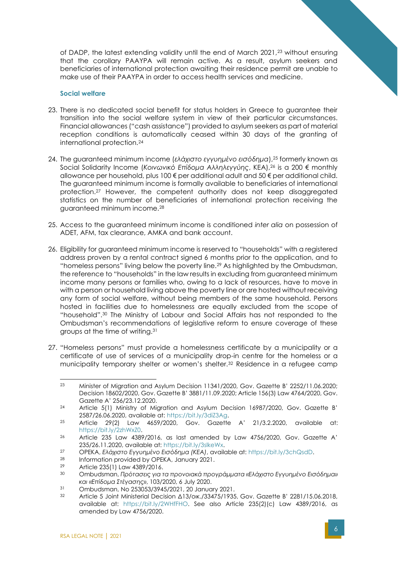of DADP, the latest extending validity until the end of March 2021,<sup>23</sup> without ensuring that the corollary PAAYPA will remain active. As a result, asylum seekers and beneficiaries of international protection awaiting their residence permit are unable to make use of their PAAYPA in order to access health services and medicine.

#### <span id="page-6-0"></span>**Social welfare**

- 23. There is no dedicated social benefit for status holders in Greece to guarantee their transition into the social welfare system in view of their particular circumstances. Financial allowances ("cash assistance") provided to asylum seekers as part of material reception conditions is automatically ceased within 30 days of the granting of international protection.<sup>24</sup>
- 24. The guaranteed minimum income (*ελάχιστο εγγυημένο εισόδημα*),<sup>25</sup> formerly known as Social Solidarity Income (*Κοινωνικό Επίδομα Αλληλεγγύης*, KEA),<sup>26</sup> is a 200 € monthly allowance per household, plus 100 € per additional adult and 50 € per additional child. The guaranteed minimum income is formally available to beneficiaries of international protection.<sup>27</sup> However, the competent authority does not keep disaggregated statistics on the number of beneficiaries of international protection receiving the guaranteed minimum income.<sup>28</sup>
- 25. Access to the guaranteed minimum income is conditioned *inter alia* on possession of ADET, AFM, tax clearance, AMKA and bank account.
- 26. Eligibility for guaranteed minimum income is reserved to "households" with a registered address proven by a rental contract signed 6 months prior to the application, and to "homeless persons" living below the poverty line.<sup>29</sup> As highlighted by the Ombudsman, the reference to "households" in the law results in excluding from guaranteed minimum income many persons or families who, owing to a lack of resources, have to move in with a person or household living above the poverty line or are hosted without receiving any form of social welfare, without being members of the same household. Persons hosted in facilities due to homelessness are equally excluded from the scope of "household". <sup>30</sup> The Ministry of Labour and Social Affairs has not responded to the Ombudsman's recommendations of legislative reform to ensure coverage of these groups at the time of writing.<sup>31</sup>
- 27. "Homeless persons" must provide a homelessness certificate by a municipality or a certificate of use of services of a municipality drop-in centre for the homeless or a municipality temporary shelter or women's shelter.<sup>32</sup> Residence in a refugee camp

<sup>23</sup> Minister of Migration and Asylum Decision 11341/2020, Gov. Gazette B' 2252/11.06.2020; Decision 18602/2020, Gov. Gazette B' 3881/11.09.2020; Article 156(3) Law 4764/2020, Gov. Gazette A' 256/23.12.2020.

<sup>24</sup> Article 5(1) Ministry of Migration and Asylum Decision 16987/2020, Gov. Gazette B' 2587/26.06.2020, available at: [https://bit.ly/3diZ3Ag.](https://bit.ly/3diZ3Ag)

<sup>25</sup> Article 29(2) Law 4659/2020, Gov. Gazette A' 21/3.2.2020, available at: [https://bit.ly/2zhWxZ0.](https://bit.ly/2zhWxZ0)

<sup>26</sup> Article 235 Law 4389/2016, as last amended by Law 4756/2020, Gov. Gazette A' 235/26.11.2020, available at: [https://bit.ly/3slkeWx.](https://bit.ly/3slkeWx)

<sup>27</sup> OPEKA, *Ελάχιστο Εγγυημένο Εισόδημα (ΚΕΑ)*, available at: [https://bit.ly/3chQsdD.](https://bit.ly/3chQsdD)

<sup>28</sup> Information provided by OPEKA, January 2021.<br>29 Article 235(1) Law 4389 (2014)

<sup>&</sup>lt;sup>29</sup> Article 235(1) Law 4389/2016.<br>30 Ombudsman Feótagse via t

<sup>30</sup> Ombudsman, *Πρότασεις για τα προνοιακά προγράμματα «Ελάχιστο Εγγυημένο Εισόδημα» και «Επίδομα Στέγασης»*, 103/2020, 6 July 2020.

<sup>31</sup> Ombudsman, No 253053/3945/2021, 20 January 2021.

<sup>32</sup> Article 5 Joint Ministerial Decision Δ13/οικ./33475/1935, Gov. Gazette B' 2281/15.06.2018, available at: [https://bit.ly/2WHfFHO.](https://bit.ly/2WHfFHO) See also Article 235(2)(c) Law 4389/2016, as amended by Law 4756/2020.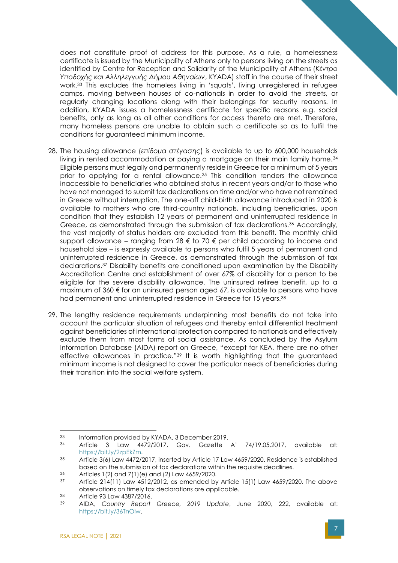does not constitute proof of address for this purpose. As a rule, a homelessness certificate is issued by the Municipality of Athens only to persons living on the streets as identified by Centre for Reception and Solidarity of the Municipality of Athens (*Κέντρο Υποδοχής και Αλληλεγγυής Δήμου Αθηναίων*, KYADA) staff in the course of their street work.<sup>33</sup> This excludes the homeless living in 'squats', living unregistered in refugee camps, moving between houses of co-nationals in order to avoid the streets, or regularly changing locations along with their belongings for security reasons. In addition, KYADA issues a homelessness certificate for specific reasons e.g. social benefits, only as long as all other conditions for access thereto are met. Therefore, many homeless persons are unable to obtain such a certificate so as to fulfil the conditions for guaranteed minimum income.

- 28. The housing allowance (*επίδομα στέγασης*) is available to up to 600,000 households living in rented accommodation or paying a mortgage on their main family home.<sup>34</sup> Eligible persons must legally and permanently reside in Greece for a minimum of 5 years prior to applying for a rental allowance.<sup>35</sup> This condition renders the allowance inaccessible to beneficiaries who obtained status in recent years and/or to those who have not managed to submit tax declarations on time and/or who have not remained in Greece without interruption. The one-off child-birth allowance introduced in 2020 is available to mothers who are third-country nationals, including beneficiaries, upon condition that they establish 12 years of permanent and uninterrupted residence in Greece, as demonstrated through the submission of tax declarations.<sup>36</sup> Accordingly, the vast majority of status holders are excluded from this benefit. The monthly child support allowance – ranging from 28 € to 70 € per child according to income and household size – is expressly available to persons who fulfil 5 years of permanent and uninterrupted residence in Greece, as demonstrated through the submission of tax declarations.<sup>37</sup> Disability benefits are conditioned upon examination by the Disability Accreditation Centre and establishment of over 67% of disability for a person to be eligible for the severe disability allowance. The uninsured retiree benefit, up to a maximum of  $360 \text{ } \epsilon$  for an uninsured person aged 67, is available to persons who have had permanent and uninterrupted residence in Greece for 15 years.<sup>38</sup>
- 29. The lengthy residence requirements underpinning most benefits do not take into account the particular situation of refugees and thereby entail differential treatment against beneficiaries of international protection compared to nationals and effectively exclude them from most forms of social assistance. As concluded by the Asylum Information Database (AIDA) report on Greece, "except for KEA, there are no other effective allowances in practice."<sup>39</sup> It is worth highlighting that the guaranteed minimum income is not designed to cover the particular needs of beneficiaries during their transition into the social welfare system.

<sup>33</sup> Information provided by KYADA, 3 December 2019.

<sup>34</sup> Article 3 Law 4472/2017, Gov. Gazette A' 74/19.05.2017, available at: [https://bit.ly/2zpEkZm.](https://bit.ly/2zpEkZm)

<sup>35</sup> Article 3(6) Law 4472/2017, inserted by Article 17 Law 4659/2020. Residence is established based on the submission of tax declarations within the requisite deadlines.

 $36$  Articles 1(2) and 7(1)(e) and (2) Law 4659/2020.

Article 214(11) Law 4512/2012, as amended by Article 15(1) Law 4659/2020. The above observations on timely tax declarations are applicable.

 $38$  Article 93 Law 4387/2016.

<sup>39</sup> AIDA, *Country Report Greece, 2019 Update*, June 2020, 222, available at: [https://bit.ly/36TnOiw.](https://bit.ly/36TnOiw)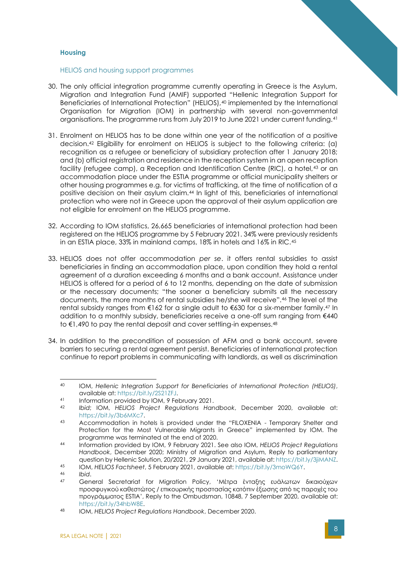#### <span id="page-8-0"></span>**Housing**

#### <span id="page-8-1"></span>HELIOS and housing support programmes

- 30. The only official integration programme currently operating in Greece is the Asylum, Migration and Integration Fund (AMIF) supported "Hellenic Integration Support for Beneficiaries of International Protection" (HELIOS),<sup>40</sup> implemented by the International Organisation for Migration (IOM) in partnership with several non-governmental organisations. The programme runs from July 2019 to June 2021 under current funding.<sup>41</sup>
- 31. Enrolment on HELIOS has to be done within one year of the notification of a positive decision.<sup>42</sup> Eligibility for enrolment on HELIOS is subject to the following criteria: (a) recognition as a refugee or beneficiary of subsidiary protection after 1 January 2018; and (b) official registration and residence in the reception system in an open reception facility (refugee camp), a Reception and Identification Centre (RIC), a hotel, 43 or an accommodation place under the ESTIA programme or official municipality shelters or other housing programmes e.g. for victims of trafficking, at the time of notification of a positive decision on their asylum claim.<sup>44</sup> In light of this, beneficiaries of international protection who were not in Greece upon the approval of their asylum application are not eligible for enrolment on the HELIOS programme.
- 32. According to IOM statistics, 26,665 beneficiaries of international protection had been registered on the HELIOS programme by 5 February 2021. 34% were previously residents in an ESTIA place, 33% in mainland camps, 18% in hotels and 16% in RIC.<sup>45</sup>
- 33. HELIOS does not offer accommodation *per se*. it offers rental subsidies to assist beneficiaries in finding an accommodation place, upon condition they hold a rental agreement of a duration exceeding 6 months and a bank account. Assistance under HELIOS is offered for a period of 6 to 12 months, depending on the date of submission or the necessary documents; "the sooner a beneficiary submits all the necessary documents, the more months of rental subsidies he/she will receive".<sup>46</sup> The level of the rental subsidy ranges from €162 for a single adult to €630 for a six-member family.<sup>47</sup> In addition to a monthly subsidy, beneficiaries receive a one-off sum ranging from  $\epsilon$ 440 to €1,490 to pay the rental deposit and cover settling-in expenses.<sup>48</sup>
- 34. In addition to the precondition of possession of AFM and a bank account, severe barriers to securing a rental agreement persist. Beneficiaries of international protection continue to report problems in communicating with landlords, as well as discrimination

<sup>40</sup> IOM, *Hellenic Integration Support for Beneficiaries of International Protection (HELIOS)*, available at: [https://bit.ly/2S21ZFJ.](https://bit.ly/2S21ZFJ)

<sup>41</sup> Information provided by IOM, 9 February 2021.<br>42 Ibid: IOM, HELIOS, Project, Pequiptions, Han

<sup>42</sup> *Ibid*; IOM, *HELIOS Project Regulations Handbook*, December 2020, available at: [https://bit.ly/3b6MXc7.](https://bit.ly/3b6MXc7)

<sup>43</sup> Accommodation in hotels is provided under the "FILOXENIA - Temporary Shelter and Protection for the Most Vulnerable Migrants in Greece" implemented by IOM. The programme was terminated at the end of 2020.

<sup>44</sup> Information provided by IOM, 9 February 2021. See also IOM, *HELIOS Project Regulations Handbook*, December 2020; Ministry of Migration and Asylum, Reply to parliamentary question by Hellenic Solution, 20/2021, 29 January 2021, available at: [https://bit.ly/3jiMANZ.](https://bit.ly/3jiMANZ)

<sup>45</sup> IOM, *HELIOS Factsheet*, 5 February 2021, available at: [https://bit.ly/3moWQ6Y.](https://bit.ly/3moWQ6Y)

<sup>46</sup> *Ibid*.

<sup>47</sup> General Secretariat for Migration Policy, 'Μέτρα ένταξης ευάλωτων δικαιούχων προσφυγικού καθεστώτος / επικουρικής προστασίας κατόπιν έξωσης από τις παροχές του προγράμματος ESTIA', Reply to the Ombudsman, 10848, 7 September 2020, available at: [https://bit.ly/34hbW8E.](https://bit.ly/34hbW8E)

<sup>48</sup> IOM, *HELIOS Project Regulations Handbook*, December 2020.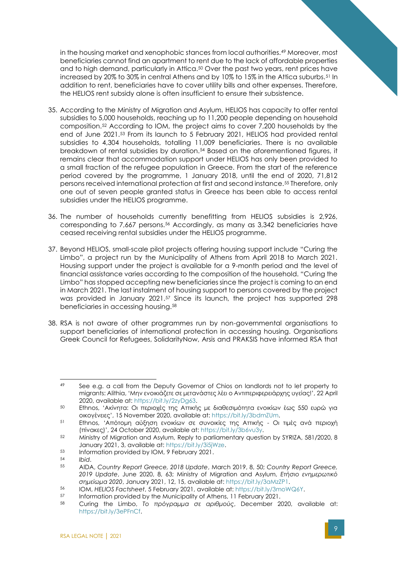in the housing market and xenophobic stances from local authorities.<sup>49</sup> Moreover, most beneficiaries cannot find an apartment to rent due to the lack of affordable properties and to high demand, particularly in Attica.<sup>50</sup> Over the past two years, rent prices have increased by 20% to 30% in central Athens and by 10% to 15% in the Attica suburbs.<sup>51</sup> In addition to rent, beneficiaries have to cover utility bills and other expenses. Therefore, the HELIOS rent subsidy alone is often insufficient to ensure their subsistence.

- 35. According to the Ministry of Migration and Asylum, HELIOS has capacity to offer rental subsidies to 5,000 households, reaching up to 11,200 people depending on household composition.<sup>52</sup> According to IOM, the project aims to cover 7,200 households by the end of June 2021.<sup>53</sup> From its launch to 5 February 2021, HELIOS had provided rental subsidies to 4,304 households, totalling 11,009 beneficiaries. There is no available breakdown of rental subsidies by duration.<sup>54</sup> Based on the aforementioned figures, it remains clear that accommodation support under HELIOS has only been provided to a small fraction of the refugee population in Greece. From the start of the reference period covered by the programme, 1 January 2018, until the end of 2020, 71,812 persons received international protection at first and second instance.<sup>55</sup> Therefore, only one out of seven people granted status in Greece has been able to access rental subsidies under the HELIOS programme.
- 36. The number of households currently benefitting from HELIOS subsidies is 2,926, corresponding to 7,667 persons.<sup>56</sup> Accordingly, as many as 3,342 beneficiaries have ceased receiving rental subsidies under the HELIOS programme.
- 37. Beyond HELIOS, small-scale pilot projects offering housing support include "Curing the Limbo", a project run by the Municipality of Athens from April 2018 to March 2021. Housing support under the project is available for a 9-month period and the level of financial assistance varies according to the composition of the household. "Curing the Limbo" has stopped accepting new beneficiaries since the project is coming to an end in March 2021. The last instalment of housing support to persons covered by the project was provided in January 2021.<sup>57</sup> Since its launch, the project has supported 298 beneficiaries in accessing housing.<sup>58</sup>
- 38. RSA is not aware of other programmes run by non-governmental organisations to support beneficiaries of international protection in accessing housing. Organisations Greek Council for Refugees, SolidarityNow, Arsis and PRAKSIS have informed RSA that

<sup>53</sup> Information provided by IOM, 9 February 2021.

<sup>49</sup> See e.g. a call from the Deputy Governor of Chios on landlords not to let property to migrants: Alithia, 'Mην ενοικιάζετε σε μετανάστες λέει ο Αντιπεριφερειάρχης υγείας!', 22 April 2020, available at: [https://bit.ly/2zyDg63.](https://bit.ly/2zyDg63)

<sup>50</sup> Ethnos, 'Ακίνητα: Οι περιοχές της Αττικής με διαθεσιμότητα ενοικίων έως 550 ευρώ για οικογένειες', 15 November 2020, available at: [https://bit.ly/3bdmZUm.](https://bit.ly/3bdmZUm)

<sup>51</sup> Ethnos, 'Απότομη αύξηση ενοικίων σε συνοικίες της Αττικής - Οι τιμές ανά περιοχή (πίνακες)', 24 October 2020, available at: [https://bit.ly/3b6vu3y.](https://bit.ly/3b6vu3y)

<sup>52</sup> Ministry of Migration and Asylum, Reply to parliamentary question by SYRIZA, 581/2020, 8 January 2021, 3, available at: [https://bit.ly/3i5jWze.](https://bit.ly/3i5jWze)

<sup>54</sup> *Ibid*.

<sup>55</sup> AIDA, *Country Report Greece, 2018 Update*, March 2019, 8, 50; *Country Report Greece, 2019 Update*, June 2020, 8, 63; Ministry of Migration and Asylum, *Ετήσιο ενημερωτικό σημείωμα 2020*, January 2021, 12, 15, available at: [https://bit.ly/3aMzZP1.](https://bit.ly/3aMzZP1)

<sup>56</sup> IOM, *HELIOS Factsheet*, 5 February 2021, available at: [https://bit.ly/3moWQ6Y.](https://bit.ly/3moWQ6Y)

<sup>&</sup>lt;sup>57</sup> Information provided by the Municipality of Athens, 11 February 2021.

<sup>58</sup> Curing the Limbo, *Το πρόγραμμα σε αριθμούς*, December 2020, available at: [https://bit.ly/3ePFnCf.](https://bit.ly/3ePFnCf)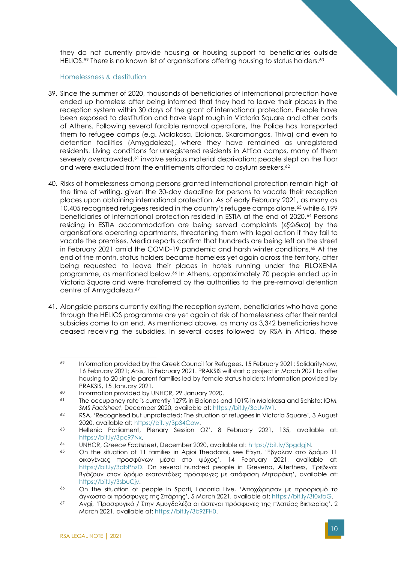they do not currently provide housing or housing support to beneficiaries outside HELIOS.<sup>59</sup> There is no known list of organisations offering housing to status holders.<sup>60</sup>

#### <span id="page-10-0"></span>Homelessness & destitution

- 39. Since the summer of 2020, thousands of beneficiaries of international protection have ended up homeless after being informed that they had to leave their places in the reception system within 30 days of the grant of international protection. People have been exposed to destitution and have slept rough in Victoria Square and other parts of Athens. Following several forcible removal operations, the Police has transported them to refugee camps (e.g. Malakasa, Elaionas, Skaramangas, Thiva) and even to detention facilities (Amygdaleza), where they have remained as unregistered residents. Living conditions for unregistered residents in Attica camps, many of them severely overcrowded,<sup>61</sup> involve serious material deprivation: people slept on the floor and were excluded from the entitlements afforded to asylum seekers.<sup>62</sup>
- 40. Risks of homelessness among persons granted international protection remain high at the time of writing, given the 30-day deadline for persons to vacate their reception places upon obtaining international protection. As of early February 2021, as many as 10,405 recognised refugees resided in the country's refugee camps alone,<sup>63</sup> while 6,199 beneficiaries of international protection resided in ESTIA at the end of 2020.<sup>64</sup> Persons residing in ESTIA accommodation are being served complaints (*εξώδικα*) by the organisations operating apartments, threatening them with legal action if they fail to vacate the premises. Media reports confirm that hundreds are being left on the street in February 2021 amid the COVID-19 pandemic and harsh winter conditions.<sup>65</sup> At the end of the month, status holders became homeless yet again across the territory, after being requested to leave their places in hotels running under the FILOXENIA programme, as mentioned below. <sup>66</sup> In Athens, approximately 70 people ended up in Victoria Square and were transferred by the authorities to the pre-removal detention centre of Amygdaleza.<sup>67</sup>
- 41. Alongside persons currently exiting the reception system, beneficiaries who have gone through the HELIOS programme are yet again at risk of homelessness after their rental subsidies come to an end. As mentioned above, as many as 3,342 beneficiaries have ceased receiving the subsidies. In several cases followed by RSA in Attica, these

<sup>59</sup> Information provided by the Greek Council for Refugees, 15 February 2021; SolidarityNow, 16 February 2021; Arsis, 15 February 2021. PRAKSIS will start a project in March 2021 to offer housing to 20 single-parent families led by female status holders: Information provided by PRAKSIS, 15 January 2021.

<sup>&</sup>lt;sup>60</sup> Information provided by UNHCR, 29 January 2020.<br> **EXECUTE THE OCCUPANCY TO BE SET UPPEN USE A** DISPOSE OF THE REGIONAL SCHOOL OF THE SECTION OF THE SET OF THE REGION OF THE REGIONAL SCHOOL OF THE REGION OF THE REGION

The occupancy rate is currently 127% in Elaionas and 101% in Malakasa and Schisto: IOM, *SMS Factsheet*, December 2020, available at: [https://bit.ly/3cUviW1.](https://bit.ly/3cUviW1)

<sup>62</sup> RSA, 'Recognised but unprotected: The situation of refugees in Victoria Square', 3 August 2020, available at: [https://bit.ly/3p34Cow.](https://bit.ly/3p34Cow)

<sup>63</sup> Hellenic Parliament, Plenary Session OZ', 8 February 2021, 135, available at: [https://bit.ly/3pc97Nx.](https://bit.ly/3pc97Nx)

<sup>64</sup> UNHCR, *Greece Factsheet*, December 2020, available at: [https://bit.ly/3pgdgjN.](https://bit.ly/3pgdgjN)

<sup>65</sup> On the situation of 11 families in Agioi Theodoroi, see Efsyn, 'Έβγαλαν στο δρόμο 11 οικογένειες προσφύγων μέσα στο ψύχος', 14 February 2021, available at: <https://bit.ly/3dbPhzD>. On several hundred people in Grevena, Alterthess, 'Γρεβενά: Βγάζουν στον δρόμο εκατοντάδες πρόσφυγες με απόφαση Μηταράκη', available at: [https://bit.ly/3sbuCjy.](https://bit.ly/3sbuCjy)

<sup>66</sup> On the situation of people in Sparti, Laconia Live, 'Αποχώρησαν με προορισμό το άγνωστο οι πρόσφυγες της Σπάρτης', 5 March 2021, available at: [https://bit.ly/3t0xfoG.](https://bit.ly/3t0xfoG) 

<sup>67</sup> Avgi, 'Προσφυγικό / Στην Αμυγδαλέζα οι άστεγοι πρόσφυγες της πλατείας Βικτωρίας', 2 March 2021, available at[: https://bit.ly/3b9ZFH0.](https://bit.ly/3b9ZFH0)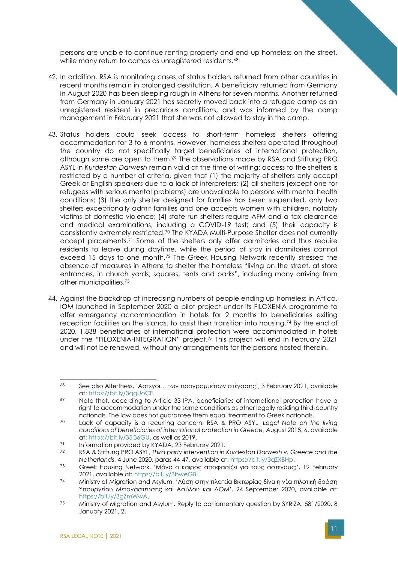persons are unable to continue renting property and end up homeless on the street, while many return to camps as unregistered residents.<sup>68</sup>

- 42. In addition, RSA is monitoring cases of status holders returned from other countries in recent months remain in prolonged destitution. A beneficiary returned from Germany in August 2020 has been sleeping rough in Athens for seven months. Another returned from Germany in January 2021 has secretly moved back into a refugee camp as an unregistered resident in precarious conditions, and was informed by the camp management in February 2021 that she was not allowed to stay in the camp.
- 43. Status holders could seek access to short-term homeless shelters offering accommodation for 3 to 6 months. However, homeless shelters operated throughout the country do not specifically target beneficiaries of international protection, although some are open to them.<sup>69</sup> The observations made by RSA and Stiftung PRO ASYL in *Kurdestan Darwesh* remain valid at the time of writing: access to the shelters is restricted by a number of criteria, given that (1) the majority of shelters only accept Greek or English speakers due to a lack of interpreters; (2) all shelters (except one for refugees with serious mental problems) are unavailable to persons with mental health conditions; (3) the only shelter designed for families has been suspended, only two shelters exceptionally admit families and one accepts women with children, notably victims of domestic violence; (4) state-run shelters require AFM and a tax clearance and medical examinations, including a COVID-19 test; and (5) their capacity is consistently extremely restricted.<sup>70</sup> The KYADA Multi-Purpose Shelter does not currently accept placements.<sup>71</sup> Some of the shelters only offer dormitories and thus require residents to leave during daytime, while the period of stay in dormitories cannot exceed 15 days to one month.<sup>72</sup> The Greek Housing Network recently stressed the absence of measures in Athens to shelter the homeless "living on the street, at store entrances, in church yards, squares, tents and parks", including many arriving from other municipalities.<sup>73</sup>
- 44. Against the backdrop of increasing numbers of people ending up homeless in Attica, IOM launched in September 2020 a pilot project under its FILOXENIA programme to offer emergency accommodation in hotels for 2 months to beneficiaries exiting reception facilities on the islands, to assist their transition into housing.<sup>74</sup> By the end of 2020, 1,838 beneficiaries of international protection were accommodated in hotels under the "FILOXENIA-INTEGRATION" project.<sup>75</sup> This project will end in February 2021 and will not be renewed, without any arrangements for the persons hosted therein.

<sup>68</sup> See also Alterthess, 'Άστεγοι… των προγραμμάτων στέγασης', 3 February 2021, available at: [https://bit.ly/3qgUoCF.](https://bit.ly/3qgUoCF)

<sup>69</sup> Note that, according to Article 33 IPA, beneficiaries of international protection have a right to accommodation under the same conditions as other legally residing third-country nationals. The law does not guarantee them equal treatment to Greek nationals.

<sup>70</sup> Lack of capacity is a recurring concern: RSA & PRO ASYL, *Legal Note on the living conditions of beneficiaries of international protection in Greece*, August 2018, 6, available at: [https://bit.ly/35i36GU,](https://bit.ly/35i36GU) as well as 2019.

 $\frac{71}{72}$  Information provided by KYADA, 23 February 2021.

<sup>72</sup> RSA & Stiftung PRO ASYL, *Third party intervention in Kurdestan Darwesh v. Greece and the Netherlands*, 4 June 2020, paras 44-47, available at: [https://bit.ly/3qZXBHp.](https://bit.ly/3qZXBHp)

<sup>73</sup> Greek Housing Network, 'Μόνο ο καιρός αποφασίζει για τους άστεγους;', 19 February 2021, available at: [https://bit.ly/3bweGBL.](https://bit.ly/3bweGBL)

<sup>74</sup> Ministry of Migration and Asylum, 'Λύση στην πλατεία Βικτωρίας δίνει η νέα πιλοτική δράση Υπουργείου Μετανάστευσης και Ασύλου και ΔΟΜ', 24 September 2020, available at: [https://bit.ly/3gZmWwA.](https://bit.ly/3gZmWwA)

<sup>75</sup> Ministry of Migration and Asylum, Reply to parliamentary question by SYRIZA, 581/2020, 8 January 2021, 2.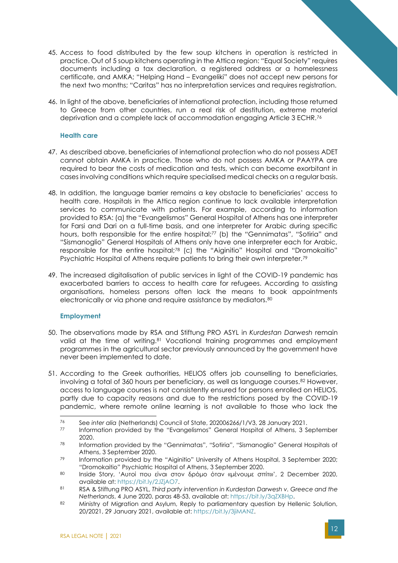- 45. Access to food distributed by the few soup kitchens in operation is restricted in practice. Out of 5 soup kitchens operating in the Attica region: "Equal Society" requires documents including a tax declaration, a registered address or a homelessness certificate, and AMKA; "Helping Hand – Evangeliki" does not accept new persons for the next two months; "Caritas" has no interpretation services and requires registration.
- 46. In light of the above, beneficiaries of international protection, including those returned to Greece from other countries, run a real risk of destitution, extreme material deprivation and a complete lack of accommodation engaging Article 3 ECHR.<sup>76</sup>

#### <span id="page-12-0"></span>**Health care**

- 47. As described above, beneficiaries of international protection who do not possess ADET cannot obtain AMKA in practice. Those who do not possess AMKA or PAAYPA are required to bear the costs of medication and tests, which can become exorbitant in cases involving conditions which require specialised medical checks on a regular basis.
- 48. In addition, the language barrier remains a key obstacle to beneficiaries' access to health care. Hospitals in the Attica region continue to lack available interpretation services to communicate with patients. For example, according to information provided to RSA: (a) the "Evangelismos" General Hospital of Athens has one interpreter for Farsi and Dari on a full-time basis, and one interpreter for Arabic during specific hours, both responsible for the entire hospital;<sup>77</sup> (b) the "Gennimatas", "Sotiria" and "Sismanoglio" General Hospitals of Athens only have one interpreter each for Arabic, responsible for the entire hospital;<sup>78</sup> (c) the "Aiginitio" Hospital and "Dromokaitio" Psychiatric Hospital of Athens require patients to bring their own interpreter.<sup>79</sup>
- 49. The increased digitalisation of public services in light of the COVID-19 pandemic has exacerbated barriers to access to health care for refugees. According to assisting organisations, homeless persons often lack the means to book appointments electronically or via phone and require assistance by mediators.<sup>80</sup>

#### <span id="page-12-1"></span>**Employment**

- 50. The observations made by RSA and Stiftung PRO ASYL in *Kurdestan Darwesh* remain valid at the time of writing.<sup>81</sup> Vocational training programmes and employment programmes in the agricultural sector previously announced by the government have never been implemented to date.
- 51. According to the Greek authorities, HELIOS offers job counselling to beneficiaries, involving a total of 360 hours per beneficiary, as well as language courses.<sup>82</sup> However, access to language courses is not consistently ensured for persons enrolled on HELIOS, partly due to capacity reasons and due to the restrictions posed by the COVID-19 pandemic, where remote online learning is not available to those who lack the

<sup>77</sup> Information provided by the "Evangelismos" General Hospital of Athens, 3 September 2020.

<sup>76</sup> See *inter alia* (Netherlands) Council of State, 202006266/1/V3, 28 January 2021.

<sup>78</sup> Information provided by the "Gennimatas", "Sotiria", "Sismanoglio" General Hospitals of Athens, 3 September 2020.

<sup>79</sup> Information provided by the "Aiginitio" University of Athens Hospital, 3 September 2020; "Dromokaitio" Psychiatric Hospital of Athens, 3 September 2020.

<sup>80</sup> Inside Story, 'Αυτοί που είναι στον δρόμο όταν «μένουμε σπίτι»', 2 December 2020, available at: [https://bit.ly/2JZjAO7.](https://bit.ly/2JZjAO7)

<sup>81</sup> RSA & Stiftung PRO ASYL, *Third party intervention in Kurdestan Darwesh v. Greece and the Netherlands*, 4 June 2020, paras 48-53, available at: [https://bit.ly/3qZXBHp.](https://bit.ly/3qZXBHp)

<sup>82</sup> Ministry of Migration and Asylum, Reply to parliamentary question by Hellenic Solution, 20/2021, 29 January 2021, available at: [https://bit.ly/3jiMANZ.](https://bit.ly/3jiMANZ)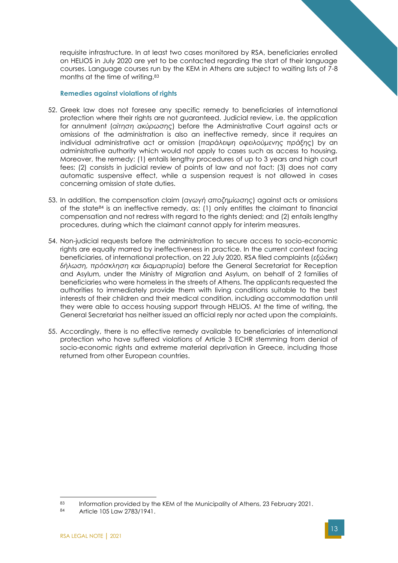requisite infrastructure. In at least two cases monitored by RSA, beneficiaries enrolled on HELIOS in July 2020 are yet to be contacted regarding the start of their language courses. Language courses run by the KEM in Athens are subject to waiting lists of 7-8 months at the time of writing.<sup>83</sup>

#### <span id="page-13-0"></span>**Remedies against violations of rights**

- 52. Greek law does not foresee any specific remedy to beneficiaries of international protection where their rights are not guaranteed. Judicial review, i.e. the application for annulment (*αίτηση ακύρωσης*) before the Administrative Court against acts or omissions of the administration is also an ineffective remedy, since it requires an individual administrative act or omission (*παράλειψη οφειλούμενης πράξης*) by an administrative authority which would not apply to cases such as access to housing. Moreover, the remedy: (1) entails lengthy procedures of up to 3 years and high court fees; (2) consists in judicial review of points of law and not fact; (3) does not carry automatic suspensive effect, while a suspension request is not allowed in cases concerning omission of state duties.
- 53. In addition, the compensation claim (*αγωγή αποζημίωσης*) against acts or omissions of the state<sup>84</sup> is an ineffective remedy, as: (1) only entitles the claimant to financial compensation and not redress with regard to the rights denied; and (2) entails lengthy procedures, during which the claimant cannot apply for interim measures.
- 54. Non-judicial requests before the administration to secure access to socio-economic rights are equally marred by ineffectiveness in practice. In the current context facing beneficiaries, of international protection, on 22 July 2020, RSA filed complaints (*εξώδικη δήλωση, πρόσκληση και διαμαρτυρία*) before the General Secretariat for Reception and Asylum, under the Ministry of Migration and Asylum, on behalf of 2 families of beneficiaries who were homeless in the streets of Athens. The applicants requested the authorities to immediately provide them with living conditions suitable to the best interests of their children and their medical condition, including accommodation until they were able to access housing support through HELIOS. At the time of writing, the General Secretariat has neither issued an official reply nor acted upon the complaints.
- 55. Accordingly, there is no effective remedy available to beneficiaries of international protection who have suffered violations of Article 3 ECHR stemming from denial of socio-economic rights and extreme material deprivation in Greece, including those returned from other European countries.

<sup>83</sup> Information provided by the KEM of the Municipality of Athens, 23 February 2021.

<sup>84</sup> Article 105 Law 2783/1941.